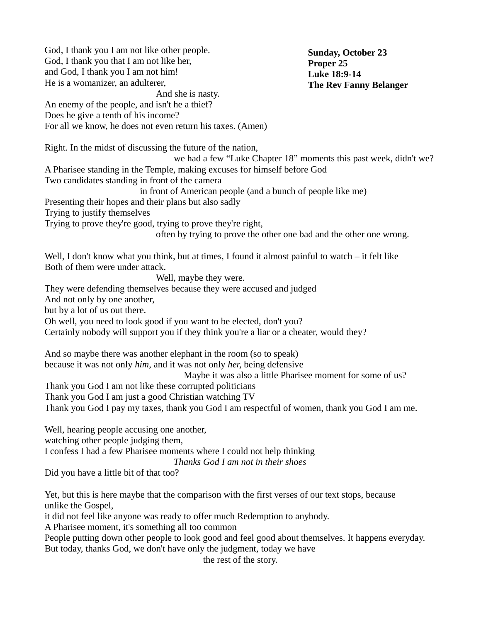God, I thank you I am not like other people. God, I thank you that I am not like her, and God, I thank you I am not him! He is a womanizer, an adulterer, And she is nasty. An enemy of the people, and isn't he a thief? Does he give a tenth of his income? For all we know, he does not even return his taxes. (Amen) Right. In the midst of discussing the future of the nation, we had a few "Luke Chapter 18" moments this past week, didn't we? A Pharisee standing in the Temple, making excuses for himself before God Two candidates standing in front of the camera in front of American people (and a bunch of people like me) Presenting their hopes and their plans but also sadly Trying to justify themselves Trying to prove they're good, trying to prove they're right, often by trying to prove the other one bad and the other one wrong. Well, I don't know what you think, but at times, I found it almost painful to watch – it felt like Both of them were under attack. Well, maybe they were. They were defending themselves because they were accused and judged And not only by one another, but by a lot of us out there. Oh well, you need to look good if you want to be elected, don't you? Certainly nobody will support you if they think you're a liar or a cheater, would they? And so maybe there was another elephant in the room (so to speak) because it was not only *him*, and it was not only *her,* being defensive Maybe it was also a little Pharisee moment for some of us? Thank you God I am not like these corrupted politicians Thank you God I am just a good Christian watching TV Thank you God I pay my taxes, thank you God I am respectful of women, thank you God I am me. Well, hearing people accusing one another, watching other people judging them, I confess I had a few Pharisee moments where I could not help thinking *Thanks God I am not in their shoes* Did you have a little bit of that too? Yet, but this is here maybe that the comparison with the first verses of our text stops, because unlike the Gospel, it did not feel like anyone was ready to offer much Redemption to anybody. A Pharisee moment, it's something all too common People putting down other people to look good and feel good about themselves. It happens everyday. But today, thanks God, we don't have only the judgment, today we have the rest of the story. **Sunday, October 23 Proper 25 Luke 18:9-14 The Rev Fanny Belanger**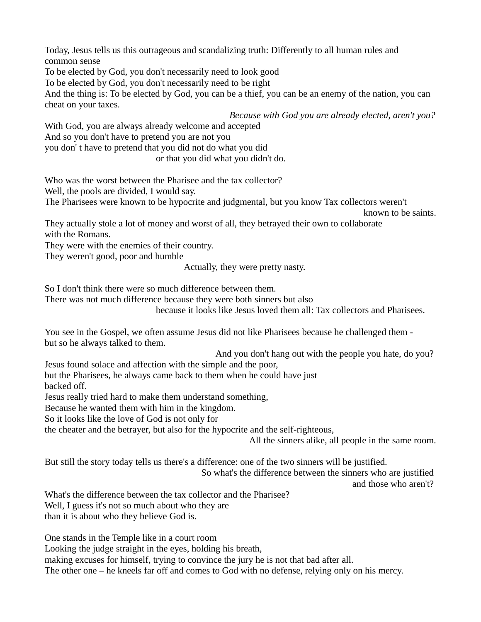Today, Jesus tells us this outrageous and scandalizing truth: Differently to all human rules and common sense

To be elected by God, you don't necessarily need to look good

To be elected by God, you don't necessarily need to be right

And the thing is: To be elected by God, you can be a thief, you can be an enemy of the nation, you can cheat on your taxes.

*Because with God you are already elected, aren't you?*

With God, you are always already welcome and accepted

And so you don't have to pretend you are not you

you don' t have to pretend that you did not do what you did

or that you did what you didn't do.

Who was the worst between the Pharisee and the tax collector?

Well, the pools are divided, I would say.

The Pharisees were known to be hypocrite and judgmental, but you know Tax collectors weren't

known to be saints.

They actually stole a lot of money and worst of all, they betrayed their own to collaborate with the Romans.

They were with the enemies of their country.

They weren't good, poor and humble

Actually, they were pretty nasty.

So I don't think there were so much difference between them.

There was not much difference because they were both sinners but also

because it looks like Jesus loved them all: Tax collectors and Pharisees.

You see in the Gospel, we often assume Jesus did not like Pharisees because he challenged them but so he always talked to them.

And you don't hang out with the people you hate, do you?

Jesus found solace and affection with the simple and the poor,

but the Pharisees, he always came back to them when he could have just backed off.

Jesus really tried hard to make them understand something,

Because he wanted them with him in the kingdom.

So it looks like the love of God is not only for

the cheater and the betrayer, but also for the hypocrite and the self-righteous,

All the sinners alike, all people in the same room.

But still the story today tells us there's a difference: one of the two sinners will be justified.

So what's the difference between the sinners who are justified

and those who aren't?

What's the difference between the tax collector and the Pharisee? Well, I guess it's not so much about who they are than it is about who they believe God is.

One stands in the Temple like in a court room

Looking the judge straight in the eyes, holding his breath,

making excuses for himself, trying to convince the jury he is not that bad after all.

The other one – he kneels far off and comes to God with no defense, relying only on his mercy.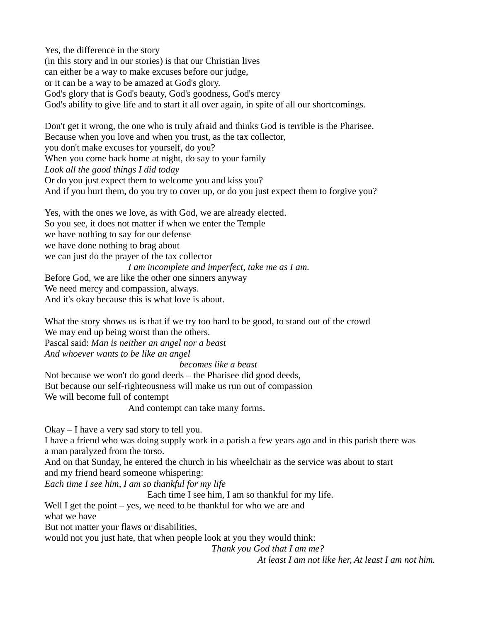Yes, the difference in the story (in this story and in our stories) is that our Christian lives can either be a way to make excuses before our judge, or it can be a way to be amazed at God's glory. God's glory that is God's beauty, God's goodness, God's mercy God's ability to give life and to start it all over again, in spite of all our shortcomings.

Don't get it wrong, the one who is truly afraid and thinks God is terrible is the Pharisee. Because when you love and when you trust, as the tax collector, you don't make excuses for yourself, do you? When you come back home at night, do say to your family *Look all the good things I did today* Or do you just expect them to welcome you and kiss you? And if you hurt them, do you try to cover up, or do you just expect them to forgive you?

Yes, with the ones we love, as with God, we are already elected. So you see, it does not matter if when we enter the Temple we have nothing to say for our defense we have done nothing to brag about we can just do the prayer of the tax collector *I am incomplete and imperfect, take me as I am.* Before God, we are like the other one sinners anyway We need mercy and compassion, always. And it's okay because this is what love is about.

What the story shows us is that if we try too hard to be good, to stand out of the crowd We may end up being worst than the others. Pascal said: *Man is neither an angel nor a beast And whoever wants to be like an angel*

 *becomes like a beast*

Not because we won't do good deeds – the Pharisee did good deeds, But because our self-righteousness will make us run out of compassion We will become full of contempt

And contempt can take many forms.

Okay – I have a very sad story to tell you.

I have a friend who was doing supply work in a parish a few years ago and in this parish there was a man paralyzed from the torso.

And on that Sunday, he entered the church in his wheelchair as the service was about to start and my friend heard someone whispering:

*Each time I see him, I am so thankful for my life*

Each time I see him, I am so thankful for my life.

Well I get the point  $-$  yes, we need to be thankful for who we are and what we have But not matter your flaws or disabilities,

would not you just hate, that when people look at you they would think:

*Thank you God that I am me?*

*At least I am not like her, At least I am not him.*